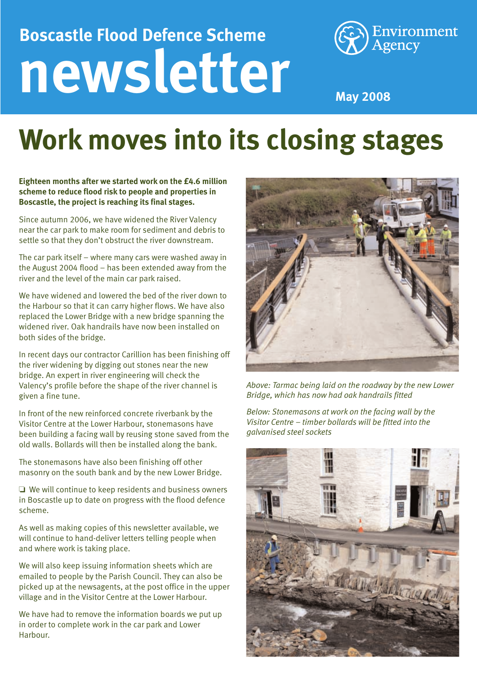## **newsletter Boscastle Flood Defence Scheme**



**May 2008**

## **Work moves into its closing stages**

**Eighteen months after we started work on the £4.6 million scheme to reduce flood risk to people and properties in Boscastle, the project is reaching its final stages.** 

Since autumn 2006, we have widened the River Valency near the car park to make room for sediment and debris to settle so that they don't obstruct the river downstream.

The car park itself – where many cars were washed away in the August 2004 flood – has been extended away from the river and the level of the main car park raised.

We have widened and lowered the bed of the river down to the Harbour so that it can carry higher flows. We have also replaced the Lower Bridge with a new bridge spanning the widened river. Oak handrails have now been installed on both sides of the bridge.

In recent days our contractor Carillion has been finishing off the river widening by digging out stones near the new bridge. An expert in river engineering will check the Valency's profile before the shape of the river channel is given a fine tune.

In front of the new reinforced concrete riverbank by the Visitor Centre at the Lower Harbour, stonemasons have been building a facing wall by reusing stone saved from the old walls. Bollards will then be installed along the bank.

The stonemasons have also been finishing off other masonry on the south bank and by the new Lower Bridge.

❏ We will continue to keep residents and business owners in Boscastle up to date on progress with the flood defence scheme.

As well as making copies of this newsletter available, we will continue to hand-deliver letters telling people when and where work is taking place.

We will also keep issuing information sheets which are emailed to people by the Parish Council. They can also be picked up at the newsagents, at the post office in the upper village and in the Visitor Centre at the Lower Harbour.

We have had to remove the information boards we put up in order to complete work in the car park and Lower Harbour.



*Above: Tarmac being laid on the roadway by the new Lower Bridge, which has now had oak handrails fitted*

*Below: Stonemasons at work on the facing wall by the Visitor Centre – timber bollards will be fitted into the galvanised steel sockets*